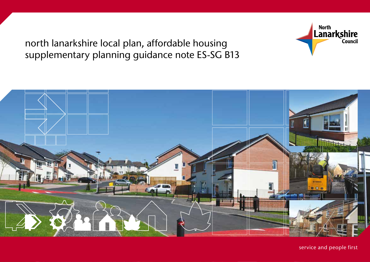north lanarkshire local plan, affordable housing supplementary planning guidance note ES-SG B13



North<br>Lanarkshire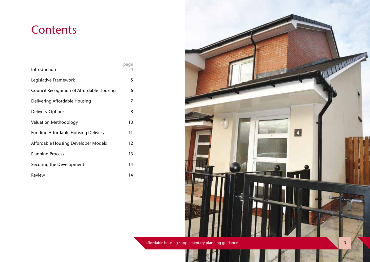## **Contents**

| Introduction                               | page<br>4 |  |
|--------------------------------------------|-----------|--|
| Legislative Framework                      | 5         |  |
| Council Recognition of Affordable Housing  | 6         |  |
| Delivering Affordable Housing              | 7         |  |
| <b>Delivery Options</b>                    | 8         |  |
| Valuation Methodology                      | 10        |  |
| <b>Funding Affordable Housing Delivery</b> | 11        |  |
| Affordable Housing Developer Models        | 12        |  |
| <b>Planning Process</b>                    | 13        |  |
| Securing the Development                   | 14        |  |
| Review                                     | 14        |  |



affordable housing supplementary planning guidance 3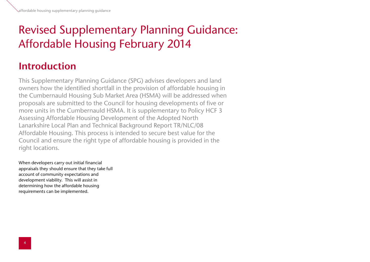# Revised Supplementary Planning Guidance: Affordable Housing February 2014

### Introduction

This Supplementary Planning Guidance (SPG) advises developers and land owners how the identified shortfall in the provision of affordable housing in the Cumbernauld Housing Sub Market Area (HSMA) will be addressed when proposals are submitted to the Council for housing developments of five or more units in the Cumbernauld HSMA. It is supplementary to Policy HCF 3 Assessing Affordable Housing Development of the Adopted North Lanarkshire Local Plan and Technical Background Report TR/NLC/08 Affordable Housing. This process is intended to secure best value for the Council and ensure the right type of affordable housing is provided in the right locations.

When developers carry out initial financial appraisals they should ensure that they take full account of community expectations and development viability. This will assist in determining how the affordable housing requirements can be implemented.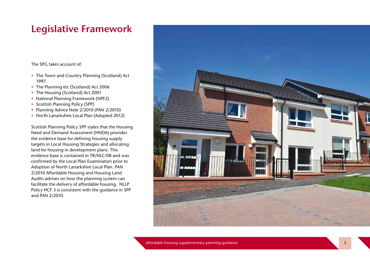#### Legislative Framework

The SPG takes account of:

- The Town and Country Planning (Scotland) Act 1997
- The Planning etc (Scotland) Act 2006
- 
- The Housing (Scotland) Act 2001<br>• National Planning Framework (NPF2)
- Scottish Planning Policy (SPP)
- Planning Advice Note 2/2010 (PAN 2/2010)
- North Lanarkshire Local Plan (Adopted 2012)

Scottish Planning Policy SPP states that the Housing Need and Demand Assessment (HNDA) provides the evidence base for defining housing supply targets in Local Housing Strategies and allocating land for housing in development plans. This evidence base is contained in TR/NLC/08 and was confirmed by the Local Plan Examination prior to Adoption of North Lanarkshire Local Plan. PAN 2/2010 Affordable Housing and Housing Land Audits advises on how the planning system can facilitate the delivery of affordable housing. NLLP Policy HCF 3 is consistent with the guidance in SPP and PAN 2/2010.

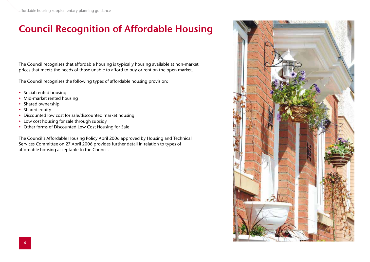## Council Recognition of Affordable Housing

The Council recognises that affordable housing is typically housing available at non-market prices that meets the needs of those unable to afford to buy or rent on the open market.

The Council recognises the following types of affordable housing provision:

- Social rented housing
- Mid-market rented housing
- Shared ownership
- Shared equity
- Discounted low cost for sale/discounted market housing
- Low cost housing for sale through subsidy
- Other forms of Discounted Low Cost Housing for Sale

The Council's Affordable Housing Policy April 2006 approved by Housing and Technical Services Committee on 27 April 2006 provides further detail in relation to types of affordable housing acceptable to the Council.

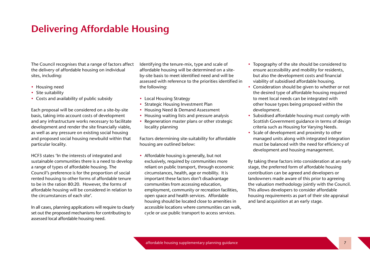#### Delivering Affordable Housing

The Council recognises that a range of factors affect the delivery of affordable housing on individual sites, including:

- Housing need
- Site suitability
- Costs and availability of public subsidy

Each proposal will be considered on a site-by-site basis, taking into account costs of development and any infrastructure works necessary to facilitate development and render the site financially viable, as well as any pressure on existing social housing and proposed social housing newbuild within that particular locality.

HCF3 states 'In the interests of integrated and sustainable communities there is a need to develop a range of types of affordable housing. The Council's preference is for the proportion of social rented housing to other forms of affordable tenure to be in the ration 80:20. However, the forms of affordable housing will be considered in relation to the circumstances of each site'.

In all cases, planning applications will require to clearly set out the proposed mechanisms for contributing to assessed local affordable housing need.

Identifying the tenure-mix, type and scale of affordable housing will be determined on a siteby-site basis to meet identified need and will be assessed with reference to the priorities identified in the following:

- Local Housing Strategy
- Strategic Housing Investment Plan
- Housing Need & Demand Assessment
- Housing waiting lists and pressure analysis
- Regeneration master plans or other strategic locality planning

Factors determining site-suitability for affordable housing are outlined below:

• Affordable housing is generally, but not exclusively, required by communities more reliant on public transport, through economic circumstances, health, age or mobility. It is important these factors don't disadvantage communities from accessing education, employment, community or recreation facilities, open space and health services. Affordable housing should be located close to amenities in accessible locations where communities can walk, cycle or use public transport to access services.

- Topography of the site should be considered to ensure accessibility and mobility for residents, but also the development costs and financial viability of subsidised affordable housing.
- Consideration should be given to whether or not the desired type of affordable housing required to meet local needs can be integrated with other house types being proposed within the development.
- Subsidised affordable housing must comply with Scottish Government guidance in terms of design criteria such as Housing for Varying Needs.
- Scale of development and proximity to other managed units along with integrated integration must be balanced with the need for efficiency of development and housing management.

By taking these factors into consideration at an early stage, the preferred form of affordable housing contribution can be agreed and developers or landowners made aware of this prior to agreeing the valuation methodology jointly with the Council. This allows developers to consider affordable housing requirements as part of their site appraisal and land acquisition at an early stage.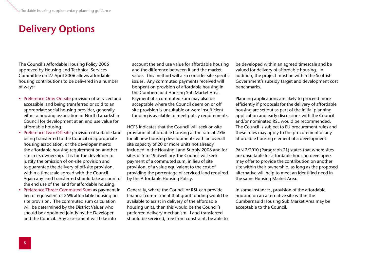#### Delivery Options

The Council's Affordable Housing Policy 2006 approved by Housing and Technical Services Committee on 27 April 2006 allows affordable housing contributions to be delivered in a number of ways:

- Preference One: On-site provision of serviced and accessible land being transferred or sold to an appropriate social housing provider, generally either a housing association or North Lanarkshire Council for development at an end use value for affordable housing.
- Preference Two: Off-site provision of suitable land being transferred to the Council or appropriate housing association, or the developer meets the affordable housing requirement on another site in its ownership. It is for the developer to justify the omission of on-site provision and to guarantee the delivery of off-site provision, within a timescale agreed with the Council. Again any land transferred should take account of the end use of the land for affordable housing.
- Preference Three: Commuted Sum as payment in lieu of equivalent of 25% affordable housing onsite provision. The commuted sum calculation will be determined by the District Valuer who should be appointed jointly by the Developer and the Council. Any assessment will take into

account the end use value for affordable housing and the difference between it and the market value. This method will also consider site specific issues. Any commuted payments received will be spent on provision of affordable housing in the Cumbernauld Housing Sub Market Area. Payment of a commuted sum may also be acceptable where the Council deem on or off site provision is unsuitable or were insufficient funding is available to meet policy requirements.

HCF3 indicates that the Council will seek on-site provision of affordable housing at the rate of 25% for all new housing developments with an overall site capacity of 20 or more units not already included in the Housing Land Supply 2008 and for sites of 5 to 19 dwellings the Council will seek payment of a commuted sum, in lieu of site provision, of a value equivalent to the cost of providing the percentage of serviced land required by the Affordable Housing Policy.

Generally, where the Council or RSL can provide financial commitment that grant funding would be available to assist in delivery of the affordable housing units, then this would be the Council's preferred delivery mechanism. Land transferred should be serviced, free from constraint, be able to

be developed within an agreed timescale and be valued for delivery of affordable housing. In addition, the project must be within the Scottish Government's subsidy target and development cost benchmarks.

Planning applications are likely to proceed more efficiently if proposals for the delivery of affordable housing are set out as part of the initial planning application and early discussions with the Council and/or nominated RSL would be recommended. The Council is subject to EU procurement rules and these rules may apply to the procurement of any affordable housing element of a development.

PAN 2/2010 (Paragraph 21) states that where sites are unsuitable for affordable housing developers may offer to provide the contribution on another site within their ownership, as long as the proposed alternative will help to meet an identified need in the same Housing Market Area.

In some instances, provision of the affordable housing on an alternative site within the Cumbernauld Housing Sub Market Area may be acceptable to the Council.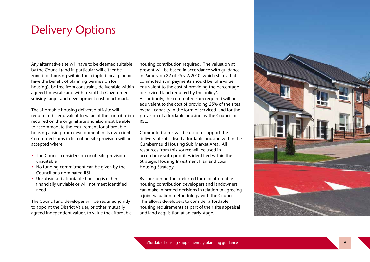## Delivery Options

Any alternative site will have to be deemed suitable by the Council (and in particular will either be zoned for housing within the adopted local plan or have the benefit of planning permission for housing), be free from constraint, deliverable within agreed timescale and within Scottish Government subsidy target and development cost benchmark.

The affordable housing delivered off-site will require to be equivalent to value of the contribution required on the original site and also must be able to accommodate the requirement for affordable housing arising from development in its own right. Commuted sums in lieu of on-site provision will be accepted where:

- The Council considers on or off site provision unsuitable
- No funding commitment can be given by the Council or a nominated RSL
- Unsubsidised affordable housing is either financially unviable or will not meet identified need

The Council and developer will be required jointly to appoint the District Valuer, or other mutually agreed independent valuer, to value the affordable

housing contribution required. The valuation at present will be based in accordance with guidance in Paragraph 22 of PAN 2/2010, which states that commuted sum payments should be 'of a value equivalent to the cost of providing the percentage of serviced land required by the policy'. Accordingly, the commuted sum required will be equivalent to the cost of providing 25% of the sites overall capacity in the form of serviced land for the provision of affordable housing by the Council or RSL.

Commuted sums will be used to support the delivery of subsidised affordable housing within the Cumbernauld Housing Sub Market Area. All resources from this source will be used in accordance with priorities identified within the Strategic Housing Investment Plan and Local Housing Strategy.

By considering the preferred form of affordable housing contribution developers and landowners can make informed decisions in relation to agreeing a joint valuation methodology with the Council. This allows developers to consider affordable housing requirements as part of their site appraisal and land acquisition at an early stage.

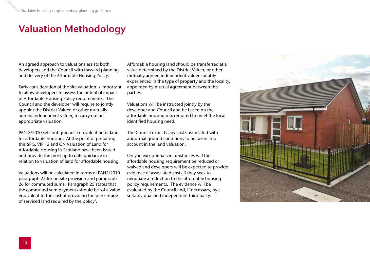#### Valuation Methodology

An agreed approach to valuations assists both developers and the Council with forward planning and delivery of the Affordable Housing Policy.

Early consideration of the site valuation is important to allow developers to assess the potential impact of Affordable Housing Policy requirements. The Council and the developer will require to jointly appoint the District Valuer, or other mutually agreed independent valuer, to carry out an appropriate valuation.

PAN 2/2010 sets out guidance on valuation of land for affordable housing. At the point of preparing this SPG, VIP 12 and GN Valuation of Land for Affordable Housing in Scotland have been issued and provide the most up to date guidance in relation to valuation of land for affordable housing.

Valuations will be calculated in terms of PAN2/2010 paragraph 25 for on-site provision and paragraph 26 for commuted sums. Paragraph 25 states that the commuted sum payments should be 'of a value equivalent to the cost of providing the percentage of serviced land required by the policy'.

Affordable housing land should be transferred at a value determined by the District Valuer, or other mutually agreed independent valuer suitably experienced in the type of property and the locality, appointed by mutual agreement between the parties.

Valuations will be instructed jointly by the developer and Council and be based on the affordable housing mix required to meet the local identified housing need.

The Council expects any costs associated with abnormal ground conditions to be taken into account in the land valuation.

Only in exceptional circumstances will the affordable housing requirement be reduced or waived and developers will be expected to provide evidence of associated costs if they seek to negotiate a reduction to the affordable housing policy requirements. The evidence will be evaluated by the Council and, if necessary, by a suitably qualified independent third party.

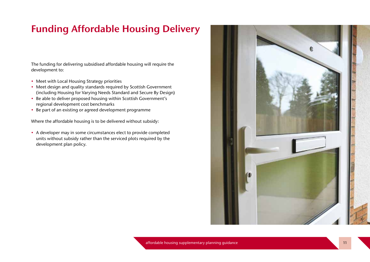#### Funding Affordable Housing Delivery

The funding for delivering subsidised affordable housing will require the development to:

- Meet with Local Housing Strategy priorities
- Meet design and quality standards required by Scottish Government (including Housing for Varying Needs Standard and Secure By Design)
- Be able to deliver proposed housing within Scottish Government's regional development cost benchmarks
- Be part of an existing or agreed development programme

Where the affordable housing is to be delivered without subsidy:

• A developer may in some circumstances elect to provide completed units without subsidy rather than the serviced plots required by the development plan policy.

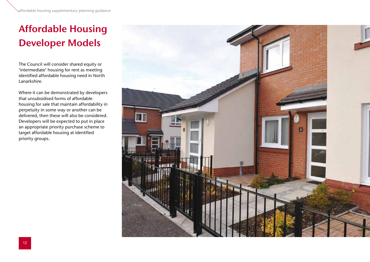# Affordable Housing Developer Models

The Council will consider shared equity or 'intermediate' housing for rent as meeting identified affordable housing need in North Lanarkshire.

Where it can be demonstrated by developers that unsubsidised forms of affordable housing for sale that maintain affordability in perpetuity in some way or another can be delivered, then these will also be considered. Developers will be expected to put in place an appropriate priority purchase scheme to target affordable housing at identified priority groups.

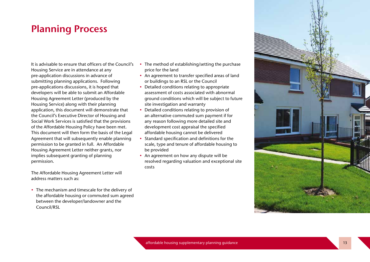#### Planning Process

It is advisable to ensure that officers of the Council's Housing Service are in attendance at any pre-application discussions in advance of submitting planning applications. Following pre-applications discussions, it is hoped that developers will be able to submit an Affordable Housing Agreement Letter (produced by the Housing Service) along with their planning application, this document will demonstrate that the Council's Executive Director of Housing and Social Work Services is satisfied that the provisions of the Affordable Housing Policy have been met. This document will then form the basis of the Legal Agreement that will subsequently enable planning permission to be granted in full. An Affordable Housing Agreement Letter neither grants, nor implies subsequent granting of planning permission.

The Affordable Housing Agreement Letter will address matters such as:

• The mechanism and timescale for the delivery of the affordable housing or commuted sum agreed between the developer/landowner and the Council/RSL

- The method of establishing/setting the purchase price for the land
- An agreement to transfer specified areas of land or buildings to an RSL or the Council
- Detailed conditions relating to appropriate assessment of costs associated with abnormal ground conditions which will be subject to future site investigation and warranty
- Detailed conditions relating to provision of an alternative commuted sum payment if for any reason following more detailed site and development cost appraisal the specified affordable housing cannot be delivered
- Standard specification and definitions for the scale, type and tenure of affordable housing to be provided
- An agreement on how any dispute will be resolved regarding valuation and exceptional site costs

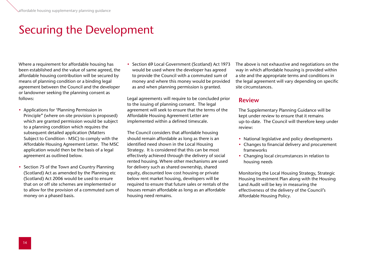## Securing the Development

Where a requirement for affordable housing has been established and the value of same agreed, the affordable housing contribution will be secured by means of planning condition or a binding legal agreement between the Council and the developer or landowner seeking the planning consent as follows:

- Applications for 'Planning Permission in Principle" (where on-site provision is proposed) which are granted permission would be subject to a planning condition which requires the subsequent detailed application (Matters Subject to Condition - MSC) to comply with the Affordable Housing Agreement Letter. The MSC application would then be the basis of a legal agreement as outlined below.
- Section 75 of the Town and Country Planning (Scotland) Act as amended by the Planning etc (Scotland) Act 2006 would be used to ensure that on or off site schemes are implemented or to allow for the provision of a commuted sum of money on a phased basis.

• Section 69 Local Government (Scotland) Act 1973 would be used where the developer has agreed to provide the Council with a commuted sum of money and where this money would be provided as and when planning permission is granted.

Legal agreements will require to be concluded prior to the issuing of planning consent. The legal agreement will seek to ensure that the terms of the Affordable Housing Agreement Letter are implemented within a defined timescale.

The Council considers that affordable housing should remain affordable as long as there is an identified need shown in the Local Housing Strategy. It is considered that this can be most effectively achieved through the delivery of social rented housing. Where other mechanisms are used for delivery such as shared ownership, shared equity, discounted low cost housing or private below rent market housing, developers will be required to ensure that future sales or rentals of the houses remain affordable as long as an affordable housing need remains.

The above is not exhaustive and negotiations on the way in which affordable housing is provided within a site and the appropriate terms and conditions in the legal agreement will vary depending on specific site circumstances.

#### Review

The Supplementary Planning Guidance will be kept under review to ensure that it remains up-to-date. The Council will therefore keep under review:

- National legislative and policy developments
- Changes to financial delivery and procurement frameworks
- Changing local circumstances in relation to housing needs

Monitoring the Local Housing Strategy, Strategic Housing Investment Plan along with the Housing Land Audit will be key in measuring the effectiveness of the delivery of the Council's Affordable Housing Policy.